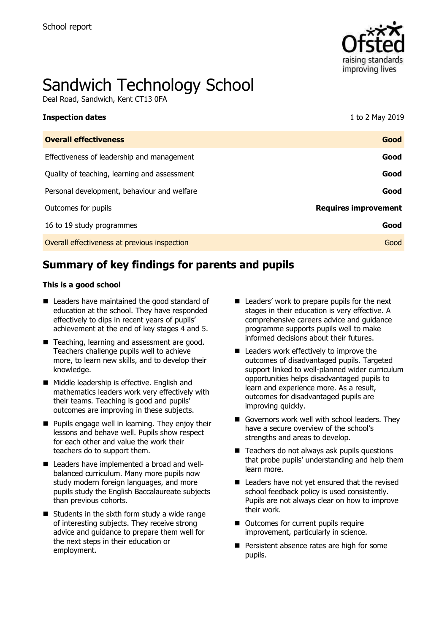

# Sandwich Technology School

Deal Road, Sandwich, Kent CT13 0FA

| <b>Inspection dates</b>                      | 1 to 2 May 2019             |
|----------------------------------------------|-----------------------------|
| <b>Overall effectiveness</b>                 | Good                        |
| Effectiveness of leadership and management   | Good                        |
| Quality of teaching, learning and assessment | Good                        |
| Personal development, behaviour and welfare  | Good                        |
| Outcomes for pupils                          | <b>Requires improvement</b> |
| 16 to 19 study programmes                    | Good                        |
| Overall effectiveness at previous inspection | Good                        |

# **Summary of key findings for parents and pupils**

#### **This is a good school**

- Leaders have maintained the good standard of education at the school. They have responded effectively to dips in recent years of pupils' achievement at the end of key stages 4 and 5.
- Teaching, learning and assessment are good. Teachers challenge pupils well to achieve more, to learn new skills, and to develop their knowledge.
- Middle leadership is effective. English and mathematics leaders work very effectively with their teams. Teaching is good and pupils' outcomes are improving in these subjects.
- **Pupils engage well in learning. They enjoy their** lessons and behave well. Pupils show respect for each other and value the work their teachers do to support them.
- Leaders have implemented a broad and wellbalanced curriculum. Many more pupils now study modern foreign languages, and more pupils study the English Baccalaureate subjects than previous cohorts.
- $\blacksquare$  Students in the sixth form study a wide range of interesting subjects. They receive strong advice and guidance to prepare them well for the next steps in their education or employment.
- Leaders' work to prepare pupils for the next stages in their education is very effective. A comprehensive careers advice and guidance programme supports pupils well to make informed decisions about their futures.
- Leaders work effectively to improve the outcomes of disadvantaged pupils. Targeted support linked to well-planned wider curriculum opportunities helps disadvantaged pupils to learn and experience more. As a result, outcomes for disadvantaged pupils are improving quickly.
- Governors work well with school leaders. They have a secure overview of the school's strengths and areas to develop.
- $\blacksquare$  Teachers do not always ask pupils questions that probe pupils' understanding and help them learn more.
- Leaders have not yet ensured that the revised school feedback policy is used consistently. Pupils are not always clear on how to improve their work.
- Outcomes for current pupils require improvement, particularly in science.
- **Persistent absence rates are high for some** pupils.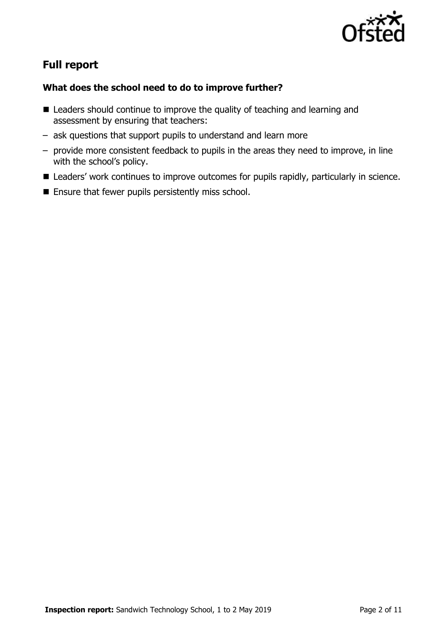

# **Full report**

### **What does the school need to do to improve further?**

- Leaders should continue to improve the quality of teaching and learning and assessment by ensuring that teachers:
- ask questions that support pupils to understand and learn more
- provide more consistent feedback to pupils in the areas they need to improve, in line with the school's policy.
- Leaders' work continues to improve outcomes for pupils rapidly, particularly in science.
- $\blacksquare$  Ensure that fewer pupils persistently miss school.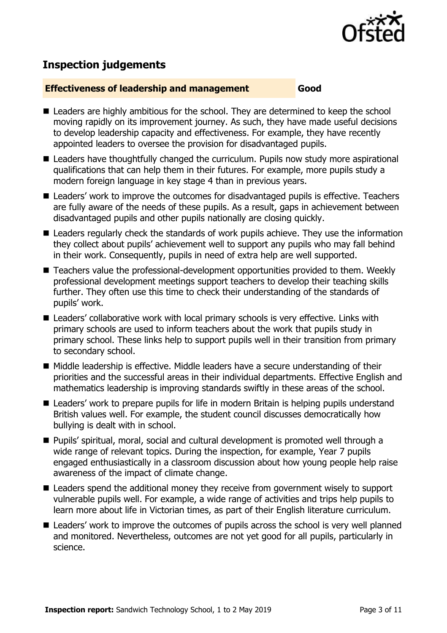

# **Inspection judgements**

#### **Effectiveness of leadership and management Good**

- Leaders are highly ambitious for the school. They are determined to keep the school moving rapidly on its improvement journey. As such, they have made useful decisions to develop leadership capacity and effectiveness. For example, they have recently appointed leaders to oversee the provision for disadvantaged pupils.
- Leaders have thoughtfully changed the curriculum. Pupils now study more aspirational qualifications that can help them in their futures. For example, more pupils study a modern foreign language in key stage 4 than in previous years.
- Leaders' work to improve the outcomes for disadvantaged pupils is effective. Teachers are fully aware of the needs of these pupils. As a result, gaps in achievement between disadvantaged pupils and other pupils nationally are closing quickly.
- Leaders regularly check the standards of work pupils achieve. They use the information they collect about pupils' achievement well to support any pupils who may fall behind in their work. Consequently, pupils in need of extra help are well supported.
- Teachers value the professional-development opportunities provided to them. Weekly professional development meetings support teachers to develop their teaching skills further. They often use this time to check their understanding of the standards of pupils' work.
- Leaders' collaborative work with local primary schools is very effective. Links with primary schools are used to inform teachers about the work that pupils study in primary school. These links help to support pupils well in their transition from primary to secondary school.
- Middle leadership is effective. Middle leaders have a secure understanding of their priorities and the successful areas in their individual departments. Effective English and mathematics leadership is improving standards swiftly in these areas of the school.
- Leaders' work to prepare pupils for life in modern Britain is helping pupils understand British values well. For example, the student council discusses democratically how bullying is dealt with in school.
- Pupils' spiritual, moral, social and cultural development is promoted well through a wide range of relevant topics. During the inspection, for example, Year 7 pupils engaged enthusiastically in a classroom discussion about how young people help raise awareness of the impact of climate change.
- Leaders spend the additional money they receive from government wisely to support vulnerable pupils well. For example, a wide range of activities and trips help pupils to learn more about life in Victorian times, as part of their English literature curriculum.
- Leaders' work to improve the outcomes of pupils across the school is very well planned and monitored. Nevertheless, outcomes are not yet good for all pupils, particularly in science.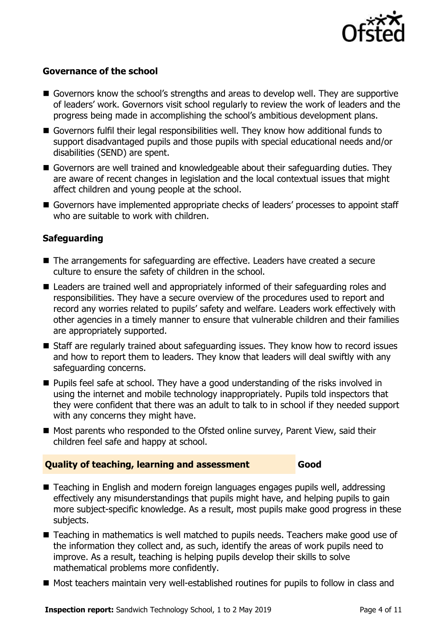

#### **Governance of the school**

- Governors know the school's strengths and areas to develop well. They are supportive of leaders' work. Governors visit school regularly to review the work of leaders and the progress being made in accomplishing the school's ambitious development plans.
- Governors fulfil their legal responsibilities well. They know how additional funds to support disadvantaged pupils and those pupils with special educational needs and/or disabilities (SEND) are spent.
- Governors are well trained and knowledgeable about their safeguarding duties. They are aware of recent changes in legislation and the local contextual issues that might affect children and young people at the school.
- Governors have implemented appropriate checks of leaders' processes to appoint staff who are suitable to work with children.

#### **Safeguarding**

- The arrangements for safeguarding are effective. Leaders have created a secure culture to ensure the safety of children in the school.
- Leaders are trained well and appropriately informed of their safeguarding roles and responsibilities. They have a secure overview of the procedures used to report and record any worries related to pupils' safety and welfare. Leaders work effectively with other agencies in a timely manner to ensure that vulnerable children and their families are appropriately supported.
- Staff are regularly trained about safeguarding issues. They know how to record issues and how to report them to leaders. They know that leaders will deal swiftly with any safeguarding concerns.
- Pupils feel safe at school. They have a good understanding of the risks involved in using the internet and mobile technology inappropriately. Pupils told inspectors that they were confident that there was an adult to talk to in school if they needed support with any concerns they might have.
- Most parents who responded to the Ofsted online survey, Parent View, said their children feel safe and happy at school.

### **Quality of teaching, learning and assessment Good**

- Teaching in English and modern foreign languages engages pupils well, addressing effectively any misunderstandings that pupils might have, and helping pupils to gain more subject-specific knowledge. As a result, most pupils make good progress in these subjects.
- Teaching in mathematics is well matched to pupils needs. Teachers make good use of the information they collect and, as such, identify the areas of work pupils need to improve. As a result, teaching is helping pupils develop their skills to solve mathematical problems more confidently.
- Most teachers maintain very well-established routines for pupils to follow in class and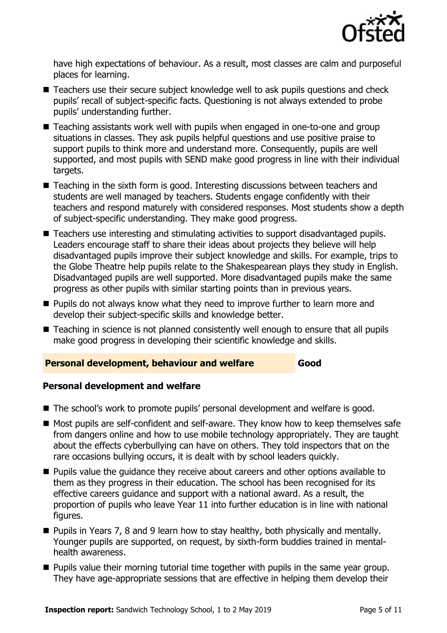

have high expectations of behaviour. As a result, most classes are calm and purposeful places for learning.

- Teachers use their secure subject knowledge well to ask pupils questions and check pupils' recall of subject-specific facts. Questioning is not always extended to probe pupils' understanding further.
- Teaching assistants work well with pupils when engaged in one-to-one and group situations in classes. They ask pupils helpful questions and use positive praise to support pupils to think more and understand more. Consequently, pupils are well supported, and most pupils with SEND make good progress in line with their individual targets.
- Teaching in the sixth form is good. Interesting discussions between teachers and students are well managed by teachers. Students engage confidently with their teachers and respond maturely with considered responses. Most students show a depth of subject-specific understanding. They make good progress.
- Teachers use interesting and stimulating activities to support disadvantaged pupils. Leaders encourage staff to share their ideas about projects they believe will help disadvantaged pupils improve their subject knowledge and skills. For example, trips to the Globe Theatre help pupils relate to the Shakespearean plays they study in English. Disadvantaged pupils are well supported. More disadvantaged pupils make the same progress as other pupils with similar starting points than in previous years.
- **Pupils do not always know what they need to improve further to learn more and** develop their subject-specific skills and knowledge better.
- Teaching in science is not planned consistently well enough to ensure that all pupils make good progress in developing their scientific knowledge and skills.

#### **Personal development, behaviour and welfare Good**

#### **Personal development and welfare**

- The school's work to promote pupils' personal development and welfare is good.
- Most pupils are self-confident and self-aware. They know how to keep themselves safe from dangers online and how to use mobile technology appropriately. They are taught about the effects cyberbullying can have on others. They told inspectors that on the rare occasions bullying occurs, it is dealt with by school leaders quickly.
- **Pupils value the quidance they receive about careers and other options available to** them as they progress in their education. The school has been recognised for its effective careers guidance and support with a national award. As a result, the proportion of pupils who leave Year 11 into further education is in line with national figures.
- Pupils in Years 7, 8 and 9 learn how to stay healthy, both physically and mentally. Younger pupils are supported, on request, by sixth-form buddies trained in mentalhealth awareness.
- **Pupils value their morning tutorial time together with pupils in the same year group.** They have age-appropriate sessions that are effective in helping them develop their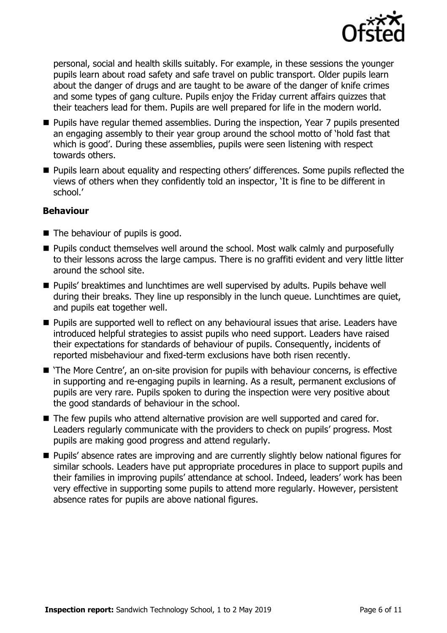

personal, social and health skills suitably. For example, in these sessions the younger pupils learn about road safety and safe travel on public transport. Older pupils learn about the danger of drugs and are taught to be aware of the danger of knife crimes and some types of gang culture. Pupils enjoy the Friday current affairs quizzes that their teachers lead for them. Pupils are well prepared for life in the modern world.

- **Pupils have regular themed assemblies. During the inspection, Year 7 pupils presented** an engaging assembly to their year group around the school motto of 'hold fast that which is good'. During these assemblies, pupils were seen listening with respect towards others.
- **Pupils learn about equality and respecting others' differences. Some pupils reflected the** views of others when they confidently told an inspector, 'It is fine to be different in school.'

#### **Behaviour**

- The behaviour of pupils is good.
- **Pupils conduct themselves well around the school. Most walk calmly and purposefully** to their lessons across the large campus. There is no graffiti evident and very little litter around the school site.
- **Pupils' breaktimes and lunchtimes are well supervised by adults. Pupils behave well** during their breaks. They line up responsibly in the lunch queue. Lunchtimes are quiet, and pupils eat together well.
- **Pupils are supported well to reflect on any behavioural issues that arise. Leaders have** introduced helpful strategies to assist pupils who need support. Leaders have raised their expectations for standards of behaviour of pupils. Consequently, incidents of reported misbehaviour and fixed-term exclusions have both risen recently.
- 'The More Centre', an on-site provision for pupils with behaviour concerns, is effective in supporting and re-engaging pupils in learning. As a result, permanent exclusions of pupils are very rare. Pupils spoken to during the inspection were very positive about the good standards of behaviour in the school.
- The few pupils who attend alternative provision are well supported and cared for. Leaders regularly communicate with the providers to check on pupils' progress. Most pupils are making good progress and attend regularly.
- **Pupils'** absence rates are improving and are currently slightly below national figures for similar schools. Leaders have put appropriate procedures in place to support pupils and their families in improving pupils' attendance at school. Indeed, leaders' work has been very effective in supporting some pupils to attend more regularly. However, persistent absence rates for pupils are above national figures.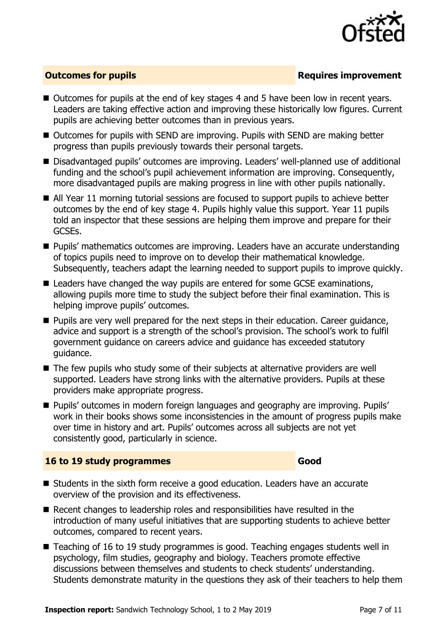

#### **Outcomes for pupils Requires improvement**

- Outcomes for pupils at the end of key stages 4 and 5 have been low in recent years. Leaders are taking effective action and improving these historically low figures. Current pupils are achieving better outcomes than in previous years.
- Outcomes for pupils with SEND are improving. Pupils with SEND are making better progress than pupils previously towards their personal targets.
- Disadvantaged pupils' outcomes are improving. Leaders' well-planned use of additional funding and the school's pupil achievement information are improving. Consequently, more disadvantaged pupils are making progress in line with other pupils nationally.
- All Year 11 morning tutorial sessions are focused to support pupils to achieve better outcomes by the end of key stage 4. Pupils highly value this support. Year 11 pupils told an inspector that these sessions are helping them improve and prepare for their GCSEs.
- **Pupils' mathematics outcomes are improving. Leaders have an accurate understanding** of topics pupils need to improve on to develop their mathematical knowledge. Subsequently, teachers adapt the learning needed to support pupils to improve quickly.
- Leaders have changed the way pupils are entered for some GCSE examinations, allowing pupils more time to study the subject before their final examination. This is helping improve pupils' outcomes.
- Pupils are very well prepared for the next steps in their education. Career quidance, advice and support is a strength of the school's provision. The school's work to fulfil government guidance on careers advice and guidance has exceeded statutory guidance.
- The few pupils who study some of their subjects at alternative providers are well supported. Leaders have strong links with the alternative providers. Pupils at these providers make appropriate progress.
- Pupils' outcomes in modern foreign languages and geography are improving. Pupils' work in their books shows some inconsistencies in the amount of progress pupils make over time in history and art. Pupils' outcomes across all subjects are not yet consistently good, particularly in science.

#### **16 to 19 study programmes Good**

- Students in the sixth form receive a good education. Leaders have an accurate overview of the provision and its effectiveness.
- Recent changes to leadership roles and responsibilities have resulted in the introduction of many useful initiatives that are supporting students to achieve better outcomes, compared to recent years.
- Teaching of 16 to 19 study programmes is good. Teaching engages students well in psychology, film studies, geography and biology. Teachers promote effective discussions between themselves and students to check students' understanding. Students demonstrate maturity in the questions they ask of their teachers to help them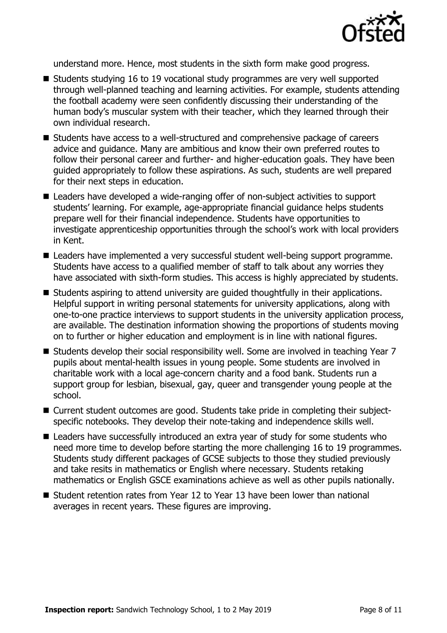

understand more. Hence, most students in the sixth form make good progress.

- Students studying 16 to 19 vocational study programmes are very well supported through well-planned teaching and learning activities. For example, students attending the football academy were seen confidently discussing their understanding of the human body's muscular system with their teacher, which they learned through their own individual research.
- Students have access to a well-structured and comprehensive package of careers advice and guidance. Many are ambitious and know their own preferred routes to follow their personal career and further- and higher-education goals. They have been guided appropriately to follow these aspirations. As such, students are well prepared for their next steps in education.
- Leaders have developed a wide-ranging offer of non-subject activities to support students' learning. For example, age-appropriate financial guidance helps students prepare well for their financial independence. Students have opportunities to investigate apprenticeship opportunities through the school's work with local providers in Kent.
- Leaders have implemented a very successful student well-being support programme. Students have access to a qualified member of staff to talk about any worries they have associated with sixth-form studies. This access is highly appreciated by students.
- Students aspiring to attend university are quided thoughtfully in their applications. Helpful support in writing personal statements for university applications, along with one-to-one practice interviews to support students in the university application process, are available. The destination information showing the proportions of students moving on to further or higher education and employment is in line with national figures.
- Students develop their social responsibility well. Some are involved in teaching Year 7 pupils about mental-health issues in young people. Some students are involved in charitable work with a local age-concern charity and a food bank. Students run a support group for lesbian, bisexual, gay, queer and transgender young people at the school.
- Current student outcomes are good. Students take pride in completing their subjectspecific notebooks. They develop their note-taking and independence skills well.
- Leaders have successfully introduced an extra year of study for some students who need more time to develop before starting the more challenging 16 to 19 programmes. Students study different packages of GCSE subjects to those they studied previously and take resits in mathematics or English where necessary. Students retaking mathematics or English GSCE examinations achieve as well as other pupils nationally.
- Student retention rates from Year 12 to Year 13 have been lower than national averages in recent years. These figures are improving.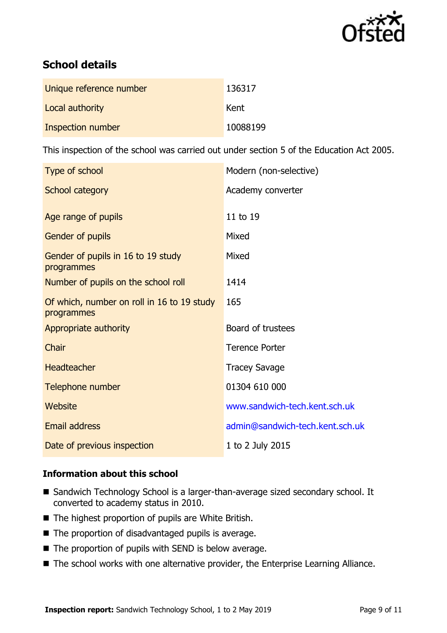

# **School details**

| Unique reference number | 136317   |
|-------------------------|----------|
| Local authority         | Kent     |
| Inspection number       | 10088199 |

This inspection of the school was carried out under section 5 of the Education Act 2005.

| Type of school                                           | Modern (non-selective)          |
|----------------------------------------------------------|---------------------------------|
| School category                                          | Academy converter               |
| Age range of pupils                                      | 11 to 19                        |
| Gender of pupils                                         | Mixed                           |
| Gender of pupils in 16 to 19 study<br>programmes         | Mixed                           |
| Number of pupils on the school roll                      | 1414                            |
| Of which, number on roll in 16 to 19 study<br>programmes | 165                             |
| Appropriate authority                                    | Board of trustees               |
| Chair                                                    | <b>Terence Porter</b>           |
| <b>Headteacher</b>                                       | <b>Tracey Savage</b>            |
| Telephone number                                         | 01304 610 000                   |
| Website                                                  | www.sandwich-tech.kent.sch.uk   |
| <b>Email address</b>                                     | admin@sandwich-tech.kent.sch.uk |
| Date of previous inspection                              | 1 to 2 July 2015                |
|                                                          |                                 |

#### **Information about this school**

- Sandwich Technology School is a larger-than-average sized secondary school. It converted to academy status in 2010.
- The highest proportion of pupils are White British.
- The proportion of disadvantaged pupils is average.
- The proportion of pupils with SEND is below average.
- The school works with one alternative provider, the Enterprise Learning Alliance.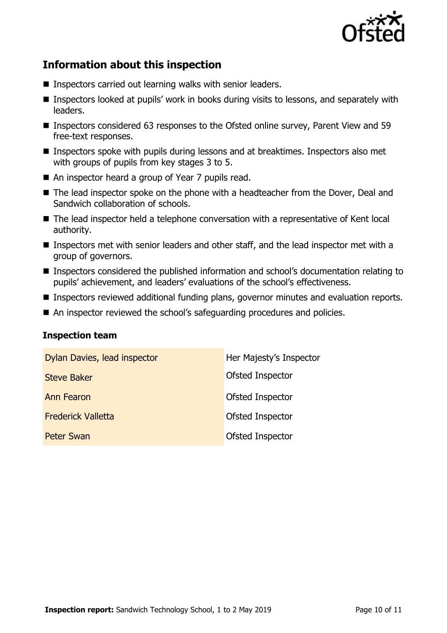

# **Information about this inspection**

- Inspectors carried out learning walks with senior leaders.
- Inspectors looked at pupils' work in books during visits to lessons, and separately with leaders.
- Inspectors considered 63 responses to the Ofsted online survey, Parent View and 59 free-text responses.
- **Inspectors spoke with pupils during lessons and at breaktimes. Inspectors also met** with groups of pupils from key stages 3 to 5.
- An inspector heard a group of Year 7 pupils read.
- The lead inspector spoke on the phone with a headteacher from the Dover, Deal and Sandwich collaboration of schools.
- The lead inspector held a telephone conversation with a representative of Kent local authority.
- Inspectors met with senior leaders and other staff, and the lead inspector met with a group of governors.
- Inspectors considered the published information and school's documentation relating to pupils' achievement, and leaders' evaluations of the school's effectiveness.
- Inspectors reviewed additional funding plans, governor minutes and evaluation reports.
- An inspector reviewed the school's safeguarding procedures and policies.

#### **Inspection team**

| Dylan Davies, lead inspector | Her Majesty's Inspector |
|------------------------------|-------------------------|
| <b>Steve Baker</b>           | Ofsted Inspector        |
| <b>Ann Fearon</b>            | Ofsted Inspector        |
| <b>Frederick Valletta</b>    | Ofsted Inspector        |
| <b>Peter Swan</b>            | Ofsted Inspector        |